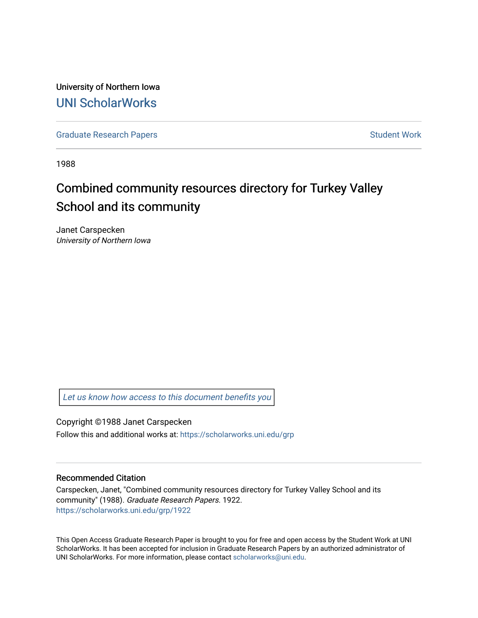University of Northern Iowa [UNI ScholarWorks](https://scholarworks.uni.edu/) 

[Graduate Research Papers](https://scholarworks.uni.edu/grp) **Student Work** Student Work

1988

# Combined community resources directory for Turkey Valley School and its community

Janet Carspecken University of Northern Iowa

[Let us know how access to this document benefits you](https://scholarworks.uni.edu/feedback_form.html) 

Copyright ©1988 Janet Carspecken Follow this and additional works at: [https://scholarworks.uni.edu/grp](https://scholarworks.uni.edu/grp?utm_source=scholarworks.uni.edu%2Fgrp%2F1922&utm_medium=PDF&utm_campaign=PDFCoverPages) 

#### Recommended Citation

Carspecken, Janet, "Combined community resources directory for Turkey Valley School and its community" (1988). Graduate Research Papers. 1922. [https://scholarworks.uni.edu/grp/1922](https://scholarworks.uni.edu/grp/1922?utm_source=scholarworks.uni.edu%2Fgrp%2F1922&utm_medium=PDF&utm_campaign=PDFCoverPages) 

This Open Access Graduate Research Paper is brought to you for free and open access by the Student Work at UNI ScholarWorks. It has been accepted for inclusion in Graduate Research Papers by an authorized administrator of UNI ScholarWorks. For more information, please contact [scholarworks@uni.edu.](mailto:scholarworks@uni.edu)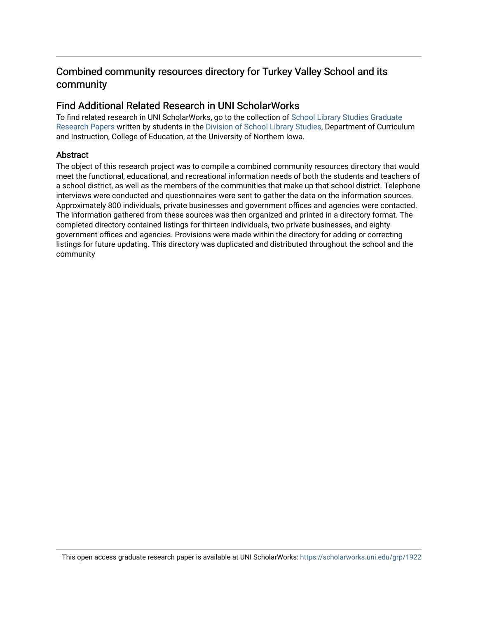## Combined community resources directory for Turkey Valley School and its community

### Find Additional Related Research in UNI ScholarWorks

To find related research in UNI ScholarWorks, go to the collection of [School Library Studies Graduate](http://scholarworks.uni.edu/sls_grp/) [Research Papers](http://scholarworks.uni.edu/sls_grp/) written by students in the [Division of School Library Studies,](http://scholarworks.uni.edu/sls/) Department of Curriculum and Instruction, College of Education, at the University of Northern Iowa.

#### **Abstract**

The object of this research project was to compile a combined community resources directory that would meet the functional, educational, and recreational information needs of both the students and teachers of a school district, as well as the members of the communities that make up that school district. Telephone interviews were conducted and questionnaires were sent to gather the data on the information sources. Approximately 800 individuals, private businesses and government offices and agencies were contacted. The information gathered from these sources was then organized and printed in a directory format. The completed directory contained listings for thirteen individuals, two private businesses, and eighty government offices and agencies. Provisions were made within the directory for adding or correcting listings for future updating. This directory was duplicated and distributed throughout the school and the community

This open access graduate research paper is available at UNI ScholarWorks: <https://scholarworks.uni.edu/grp/1922>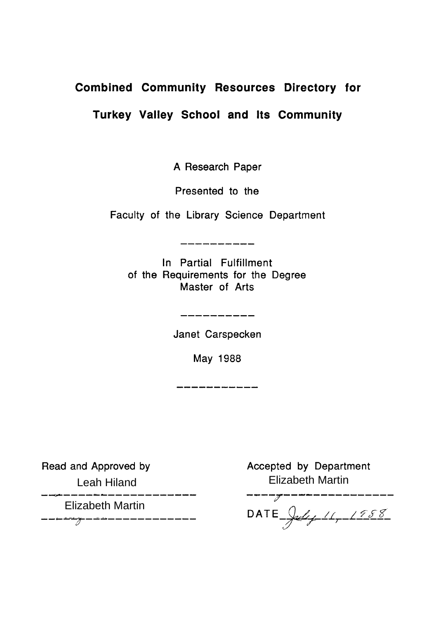# **Combined Community Resources Directory for**

# **Turkey Valley School and Its Community**

A Research Paper

Presented to the

Faculty of the Library Science Department

-------------

In Partial Fulfillment of the Requirements for the Degree Master of Arts

Janet Carspecken

\_\_\_\_\_\_\_\_\_\_\_

May 1988

Read and Approved by

Leah Hiland

\_\_\_*\_\_\_\_\_\_\_\_\_\_\_\_\_\_\_\_\_*\_\_\_

- Elizabeth Martin Elizabeth MartinAccepted by Department Elizabeth Martin<br>-------------------

D ATE <u>July 11, 1988</u>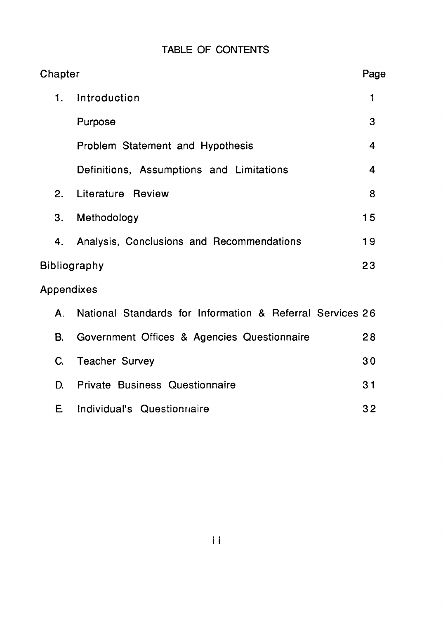|  | <b>TABLE OF CONTENTS</b> |  |
|--|--------------------------|--|
|  |                          |  |

| Chapter    |                                                           | Page                    |
|------------|-----------------------------------------------------------|-------------------------|
| 1.         | Introduction                                              | $\mathbf{1}$            |
|            | Purpose                                                   | 3                       |
|            | Problem Statement and Hypothesis                          | $\overline{\mathbf{4}}$ |
|            | Definitions, Assumptions and Limitations                  | $\overline{4}$          |
| 2.         | Literature Review                                         | 8                       |
| 3.         | Methodology                                               | 15                      |
| 4.         | Analysis, Conclusions and Recommendations                 | 19                      |
|            | <b>Bibliography</b>                                       | 23                      |
| Appendixes |                                                           |                         |
| Α.         | National Standards for Information & Referral Services 26 |                         |
| В.         | Government Offices & Agencies Questionnaire               | 28                      |
| C.         | <b>Teacher Survey</b>                                     | 30                      |
| D.         | Private Business Questionnaire                            | 31                      |
| E.         | Individual's Questionnaire                                | 32                      |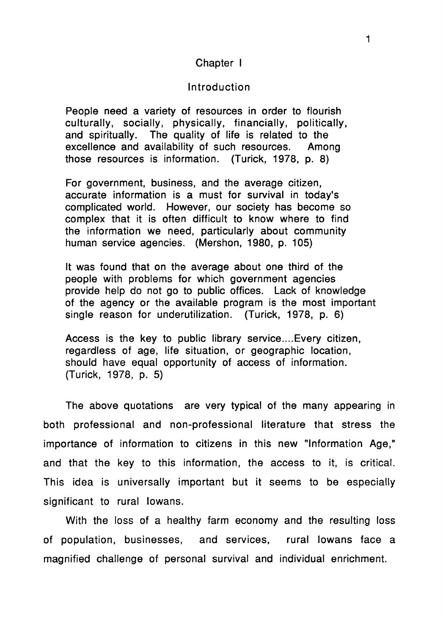### Chapter I

#### Introduction

People need a variety of resources in order to flourish culturally, socially, physically, financially, politically, and spiritually. The quality of life is related to the excellence and availability of such resources. Among those resources is information. (Turick, 1978, p. 8)

For government, business, and the average citizen, accurate information is a must for survival in today's complicated world. However, our society has become so complex that it is often difficult to know where to find the information we need, particularly about community human service agencies. (Mershon, 1980, p. 105)

It was found that on the average about one third of the people with problems for which government agencies provide help do not go to public offices. Lack of knowledge of the agency or the available program is the most important single reason for underutilization. (Turick, 1978, p. 6)

Access is the key to public library service.... Every citizen, regardless of age, life situation, or geographic location, should have equal opportunity of access of information. (Turick, 1978, p. 5)

The above quotations are very typical of the many appearing in both professional and non-professional literature that stress the importance of information to citizens in this new "Information Age," and that the key to this information, the access to it, is critical. This idea is universally important but it seems to be especially significant to rural Iowans.

With the loss of a healthy farm economy and the resulting loss of population, businesses, and services, rural Iowans face a magnified challenge of personal survival and individual enrichment.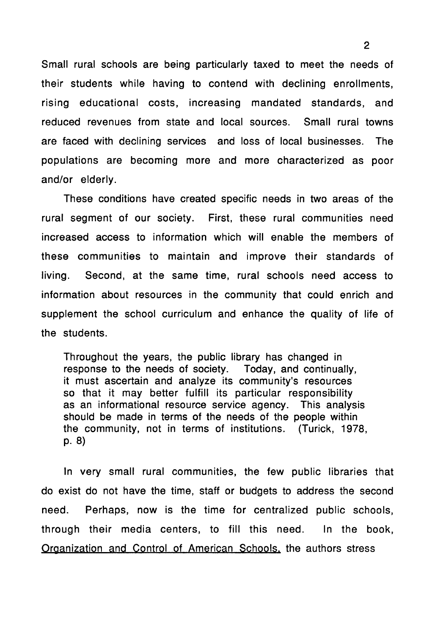Small rural schools are being particularly taxed to meet the needs of their students while having to contend with declining enrollments, rising educational costs, increasing mandated standards, and reduced revenues from state and local sources. Small rural towns are faced with declining services and loss of local businesses. The populations are becoming more and more characterized as poor and/or elderly.

These conditions have created specific needs in two areas of the rural segment of our society. First, these rural communities need increased access to information which will enable the members of these communities to maintain and improve their standards of living. Second, at the same time, rural schools need access to information about resources in the community that could enrich and supplement the school curriculum and enhance the quality of life of the students.

Throughout the years, the public library has changed in response to the needs of society. Today, and continually, it must ascertain and analyze its community's resources so that it may better fulfill its particular responsibility as an informational resource service agency. This analysis should be made in terms of the needs of the people within the community, not in terms of institutions. (Turick, 1978, p. 8)

In very small rural communities, the few public libraries that do exist do not have the time, staff or budgets to address the second need. Perhaps, now is the time for centralized public schools, through their media centers, to fill this need. In the book, Organization and Control of American Schools, the authors stress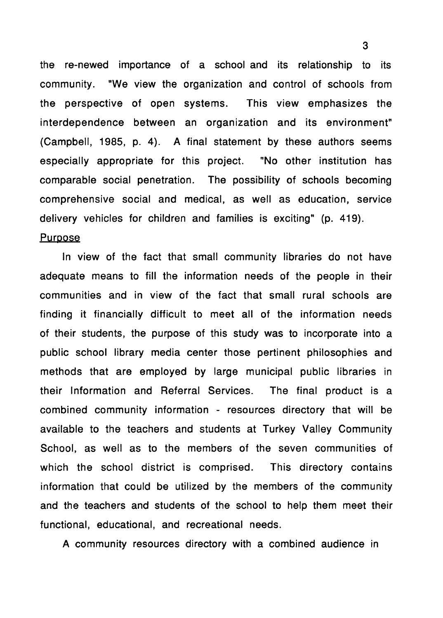the re-newed importance of a school and its relationship to its community. "We view the organization and control of schools from the perspective of open systems. This view emphasizes the interdependence between an organization and its environment" (Campbell, 1985, p. 4). A final statement by these authors seems especially appropriate for this project. "No other institution has comparable social penetration. The possibility of schools becoming comprehensive social and medical, as well as education, service delivery vehicles for children and families is exciting" (p. 419).

#### **Purpose**

In view of the fact that small community libraries do not have adequate means to fill the information needs of the people in their communities and in view of the fact that small rural schools are finding it financially difficult to meet all of the information needs of their students, the purpose of this study was to incorporate into a public school library media center those pertinent philosophies and methods that are employed by large municipal public libraries in their Information and Referral Services. The final product is a combined community information - resources directory that will be available to the teachers and students at Turkey Valley Community School, as well as to the members of the seven communities of which the school district is comprised. This directory contains information that could be utilized by the members of the community and the teachers and students of the school to help them meet their functional, educational, and recreational needs.

A community resources directory with a combined audience in

3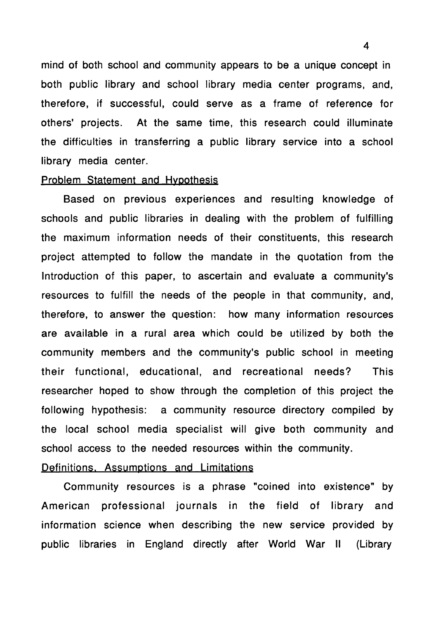mind of both school and community appears to be a unique concept in both public library and school library media center programs, and, therefore, if successful, could serve as a frame of reference for others' projects. At the same time, this research could illuminate the difficulties in transferring a public library service into a school library media center.

#### Problem Statement and Hypothesis

Based on previous experiences and resulting knowledge of schools and public libraries in dealing with the problem of fulfilling the maximum information needs of their constituents, this research project attempted to follow the mandate in the quotation from the Introduction of this paper, to ascertain and evaluate a community's resources to fulfill the needs of the people in that community, and, therefore, to answer the question: how many information resources are available in a rural area which could be utilized by both the community members and the community's public school in meeting their functional, educational, and recreational needs? This researcher hoped to show through the completion of this project the following hypothesis: a community resource directory compiled by the local school media specialist will give both community and school access to the needed resources within the community.

### Definitions, Assumptions and Limitations

Community resources is a phrase "coined into existence" by American professional journals in the field of library and information science when describing the new service provided by public libraries in England directly after World War II (Library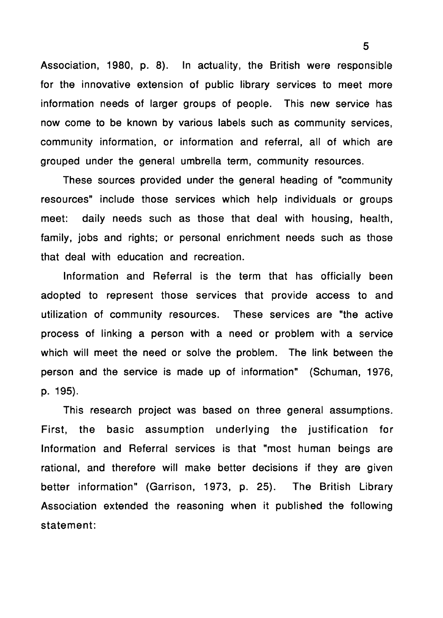Association, 1980, p. 8). In actuality, the British were responsible for the innovative extension of public library services to meet more information needs of larger groups of people. This new service has now come to be known by various labels such as community services, community information, or information and referral, all of which are grouped under the general umbrella term, community resources.

These sources provided under the general heading of "community resources" include those services which help individuals or groups meet: daily needs such as those that deal with housing, health, family, jobs and rights; or personal enrichment needs such as those that deal with education and recreation.

Information and Referral is the term that has officially been adopted to represent those services that provide access to and utilization of community resources. These services are "the active process of linking a person with a need or problem with a service which will meet the need or solve the problem. The link between the person and the service is made up of information" (Schuman, 1976, p. 195).

This research project was based on three general assumptions. First, the basic assumption underlying the justification for Information and Referral services is that "most human beings are rational, and therefore will make better decisions if they are given better information" (Garrison, 1973, p. 25). The British Library Association extended the reasoning when it published the following statement: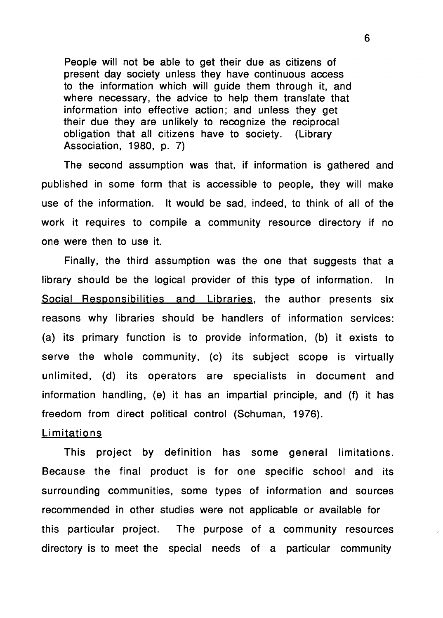People will not be able to get their due as citizens of present day society unless they have continuous access to the information which will guide them through it, and where necessary, the advice to help them translate that information into effective action; and unless they get their due they are unlikely to recognize the reciprocal obligation that all citizens have to society. (Library Association, 1980, p. 7)

The second assumption was that, if information is gathered and published in some form that is accessible to people, they will make use of the information. It would be sad, indeed, to think of all of the work it requires to compile a community resource directory if no one were then to use it.

Finally, the third assumption was the one that suggests that a library should be the logical provider of this type of information. In Social Responsibilities and Libraries. the author presents six reasons why libraries should be handlers of information services: (a) its primary function is to provide information, (b) it exists to serve the whole community, (c) its subject scope is virtually unlimited, (d) its operators are specialists in document and information handling, (e) it has an impartial principle, and (f) it has freedom from direct political control (Schuman, 1976).

#### Limitations

This project by definition has some general limitations. Because the final product is for one specific school and its surrounding communities, some types of information and sources recommended in other studies were not applicable or available for this particular project. The purpose of a community resources directory is to meet the special needs of a particular community

6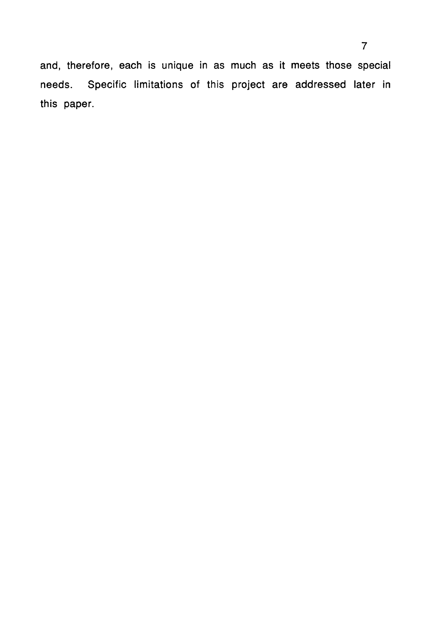and, therefore, each is unique in as much as it meets those special needs. Specific limitations of this project are addressed later in this paper.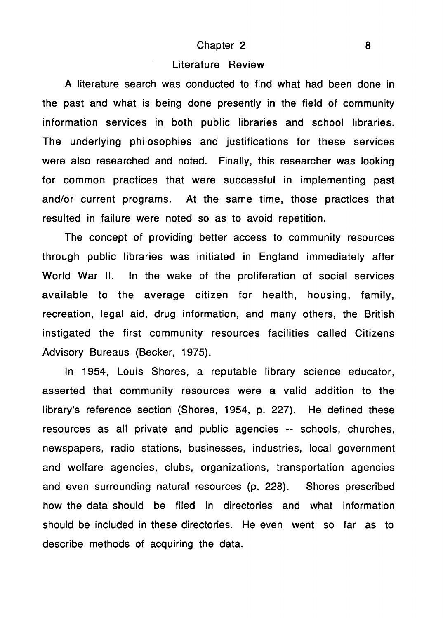#### Chapter 2 8

#### Literature Review

A literature search was conducted to find what had been done in the past and what is being done presently in the field of community information services in both public libraries and school libraries. The underlying philosophies and justifications for these services were also researched and noted. Finally, this researcher was looking for common practices that were successful in implementing past and/or current programs. At the same time, those practices that resulted in failure were noted so as to avoid repetition.

The concept of providing better access to community resources through public libraries was initiated in England immediately after World War II. In the wake of the proliferation of social services available to the average citizen for health, housing, family, recreation, legal aid, drug information, and many others, the British instigated the first community resources facilities called Citizens Advisory Bureaus (Becker, 1975).

In 1954, Louis Shores, a reputable library science educator, asserted that community resources were a valid addition to the library's reference section (Shores, 1954, p. 227). He defined these resources as all private and public agencies -- schools, churches, newspapers, radio stations, businesses, industries, local government and welfare agencies, clubs, organizations, transportation agencies and even surrounding natural resources (p. 228). Shores prescribed how the data should be filed in directories and what information should be included in these directories. He even went so far as to describe methods of acquiring the data.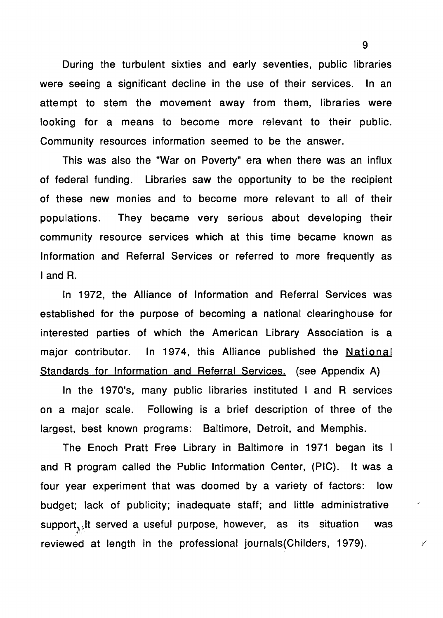During the turbulent sixties and early seventies, public libraries were seeing a significant decline in the use of their services. In an attempt to stem the movement away from them, libraries were looking for a means to become more relevant to their public. Community resources information seemed to be the answer.

This was also the "War on Poverty" era when there was an influx of federal funding. Libraries saw the opportunity to be the recipient of these new monies and to become more relevant to all of their populations. They became very serious about developing their community resource services which at this time became known as Information and Referral Services or referred to more frequently as I and R.

In 1972, the Alliance of Information and Referral Services was established for the purpose of becoming a national clearinghouse for interested parties of which the American Library Association is a major contributor. In 1974, this Alliance published the National Standards for Information and Referral Services. (see Appendix A)

In the 1970's, many public libraries instituted I and R services on a major scale. Following is a brief description of three of the largest, best known programs: Baltimore, Detroit, and Memphis.

The Enoch Pratt Free Library in Baltimore in 1971 began its I and R program called the Public Information Center, (PIG). It was a four year experiment that was doomed by a variety of factors: low budget; lack of publicity; inadequate staff; and little administrative support $\lambda_{\lambda}$ t served a useful purpose, however, as its situation was reviewed at length in the professional journals (Childers, 1979).  $\sqrt{2}$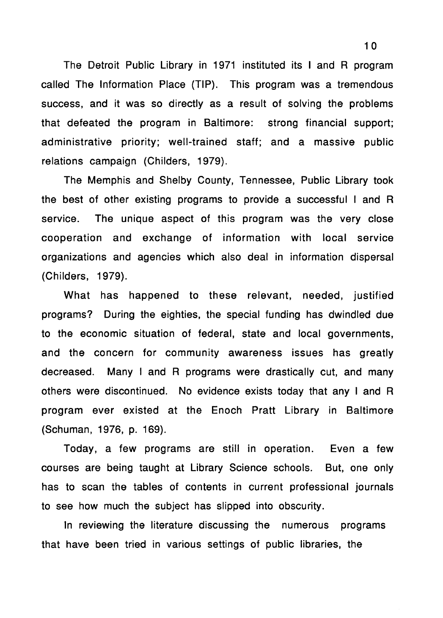The Detroit Public Library in 1971 instituted its I and R program called The Information Place (TIP). This program was a tremendous success, and it was so directly as a result of solving the problems that defeated the program in Baltimore: strong financial support; administrative priority; well-trained staff; and a massive public relations campaign (Childers, 1979).

The Memphis and Shelby County, Tennessee, Public Library took the best of other existing programs to provide a successful I and R service. The unique aspect of this program was the very close cooperation and exchange of information with local service organizations and agencies which also deal in information dispersal (Childers, 1979).

What has happened to these relevant, needed, justified programs? During the eighties, the special funding has dwindled due to the economic situation of federal, state and local governments, and the concern for community awareness issues has greatly decreased. Many I and R programs were drastically cut, and many others were discontinued. No evidence exists today that any I and R program ever existed at the Enoch Pratt Library in Baltimore (Schuman, 1976, p. 169).

Today, a few programs are still in operation. Even a few courses are being taught at Library Science schools. But, one only has to scan the tables of contents in current professional journals to see how much the subject has slipped into obscurity.

In reviewing the literature discussing the numerous programs that have been tried in various settings of public libraries, the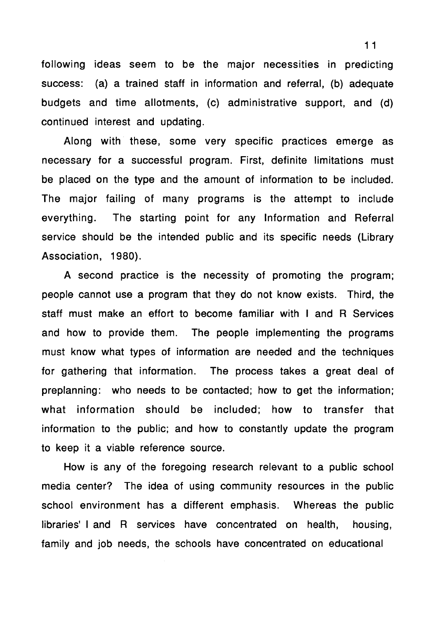following ideas seem to be the major necessities in predicting success: (a) a trained staff in information and referral, (b) adequate budgets and time allotments, (c) administrative support, and (d) continued interest and updating.

Along with these, some very specific practices emerge as necessary for a successful program. First, definite limitations must be placed on the type and the amount of information to be included. The major failing of many programs is the attempt to include everything. The starting point for any Information and Referral service should be the intended public and its specific needs (Library Association, 1980).

A second practice is the necessity of promoting the program; people cannot use a program that they do not know exists. Third, the staff must make an effort to become familiar with I and R Services and how to provide them. The people implementing the programs must know what types of information are needed and the techniques for gathering that information. The process takes a great deal of preplanning: who needs to be contacted; how to get the information; what information should be included; how to transfer that information to the public; and how to constantly update the program to keep it a viable reference source.

How is any of the foregoing research relevant to a public school media center? The idea of using community resources in the public school environment has a different emphasis. Whereas the public libraries' I and R services have concentrated on health, housing, family and job needs, the schools have concentrated on educational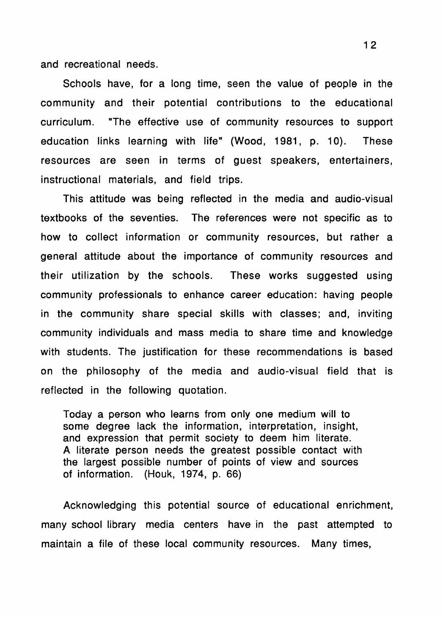and recreational needs.

Schools have, for a long time, seen the value of people in the community and their potential contributions to the educational curriculum. "The effective use of community resources to support education links learning with life" (Wood, 1981, p. 10). These resources are seen in terms of guest speakers, entertainers, instructional materials, and field trips.

This attitude was being reflected in the media and audio-visual textbooks of the seventies. The references were not specific as to how to collect information or community resources, but rather a general attitude about the importance of community resources and their utilization by the schools. These works suggested using community professionals to enhance career education: having people in the community share special skills with classes; and, inviting community individuals and mass media to share time and knowledge with students. The justification for these recommendations is based on the philosophy of the media and audio-visual field that is reflected in the following quotation.

Today a person who learns from only one medium will to some degree lack the information, interpretation, insight, and expression that permit society to deem him literate. A literate person needs the greatest possible contact with the largest possible number of points of **view** and sources of information. (Houk, 1974, p. 66)

Acknowledging this potential source of educational enrichment, many school library media centers have in the past attempted to maintain a file of these local community resources. Many times,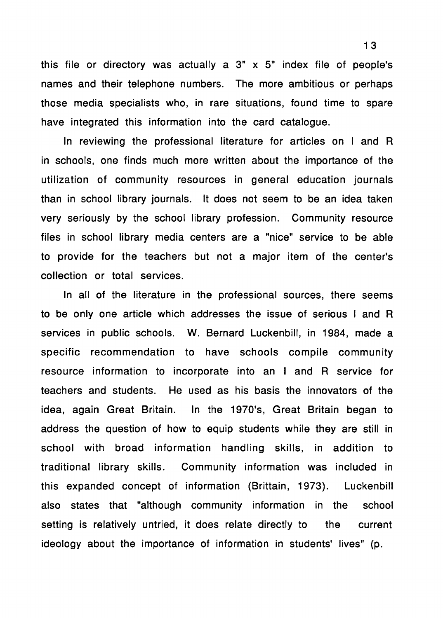this file or directory was actually a 3" x 5" index file of people's names and their telephone numbers. The more ambitious or perhaps those media specialists who, in rare situations, found time to spare have integrated this information into the card catalogue.

In reviewing the professional literature for articles on I and R in schools, one finds much more written about the importance of the utilization of community resources in general education journals than in school library journals. It does not seem to be an idea taken very seriously by the school library profession. Community resource files in school library media centers are a "nice" service to be able to provide for the teachers but not a major item of the center's collection or total services.

In all of the literature in the professional sources, there seems to be only one article which addresses the issue of serious I and R services in public schools. W. Bernard Luckenbill, in 1984, made a specific recommendation to have schools compile community resource information to incorporate into an I and R service for teachers and students. He used as his basis the innovators of the idea, again Great Britain. In the 1970's, Great Britain began to address the question of how to equip students while they are still in school with broad information handling skills, in addition to traditional library skills. Community information was included in this expanded concept of information (Brittain, 1973). Luckenbill also states that "although community information in the school setting is relatively untried, it does relate directly to the current ideology about the importance of information in students' lives" (p.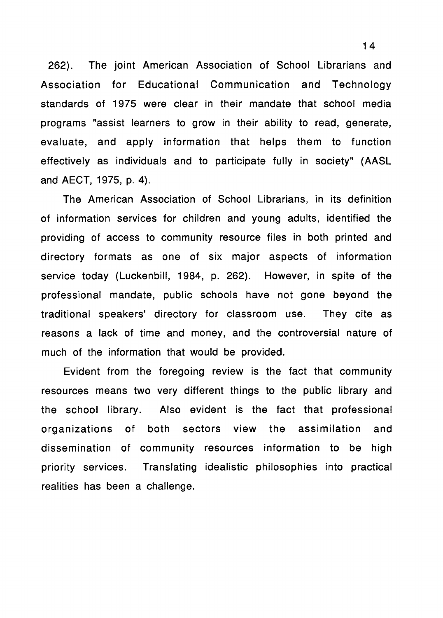262). The joint American Association of School Librarians and Association for Educational Communication and Technology standards of 1975 were clear in their mandate that school media programs "assist learners to grow in their ability to read, generate, evaluate, and apply information that helps them to function effectively as individuals and to participate fully in society" (AASL and AECT, 1975, p. 4).

The American Association of School Librarians, in its definition of information services for children and young adults, identified the providing of access to community resource files in both printed and directory formats as one of six major aspects of information service today (Luckenbill, 1984, p. 262). However, in spite of the professional mandate, public schools have not gone beyond the traditional speakers' directory for classroom use. They cite as reasons a lack of time and money, and the controversial nature of much of the information that would be provided.

Evident from the foregoing review is the fact that community resources means two very different things to the public library and the school library. Also evident is the fact that professional organizations of both sectors **view** the assimilation and dissemination of community resources information to be high priority services. Translating idealistic philosophies into practical realities has been a challenge.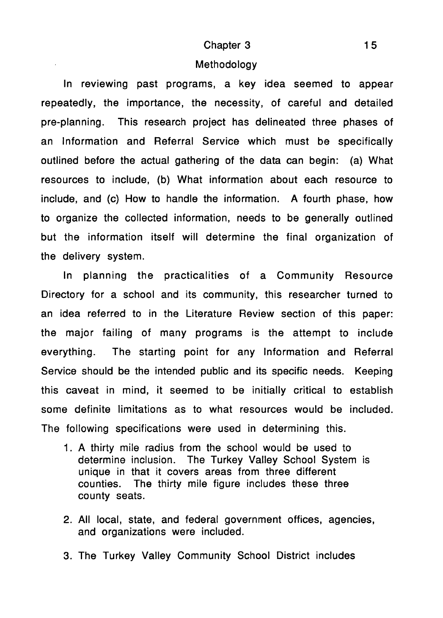#### Chapter 3

#### Methodology

In reviewing past programs, a key idea seemed to appear repeatedly, the importance, the necessity, of careful and detailed pre-planning. This research project has delineated three phases of an Information and Referral Service which must be specifically outlined before the actual gathering of the data can begin: (a) What resources to include, (b) What information about each resource to include, and (c) How to handle the information. A fourth phase, how to organize the collected information, needs to be generally outlined but the information itself will determine the final organization of the delivery system.

In planning the practicalities of a Community Resource Directory for a school and its community, this researcher turned to an idea referred to in the Literature Review section of this paper: the major failing of many programs is the attempt to include everything. The starting point for any Information and Referral Service should be the intended public and its specific needs. Keeping this caveat in mind, it seemed to be initially critical to establish some definite limitations as to what resources would be included. The following specifications were used in determining this.

- 1. A thirty mile radius from the school would be used to determine inclusion. The Turkey Valley School System is unique in that it covers areas from three different counties. The thirty mile figure includes these three county seats.
- 2. All local, state, and federal government offices, agencies, and organizations were included.
- 3. The Turkey Valley Community School District includes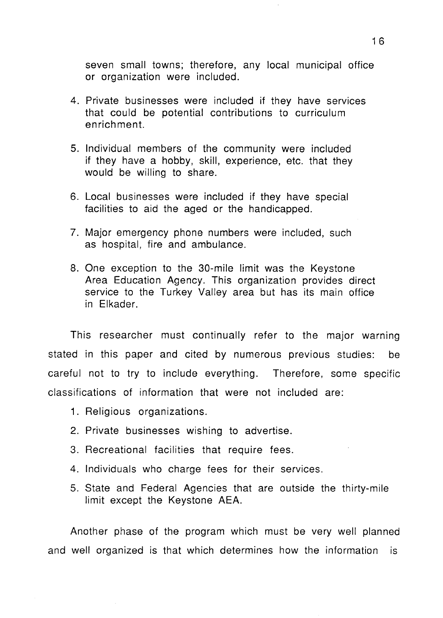seven small towns; therefore, any local municipal office or organization were included.

- 4. Private businesses were included if they have services that could be potential contributions to curriculum enrichment.
- 5. Individual members of the community were included if they have a hobby, skill, experience, etc. that they would be willing to share.
- 6. Local businesses were included if they have special facilities to aid the aged or the handicapped.
- 7. Major emergency phone numbers were included, such as hospital, fire and ambulance.
- 8. One exception to the 30-mile limit was the Keystone Area Education Agency. This organization provides direct service to the Turkey Valley area but has its main office in Elkader.

This researcher must continually refer to the major warning stated in this paper and cited by numerous previous studies: be careful not to try to include everything. Therefore, some specific classifications of information that were not included are:

- 1. Religious organizations.
- 2. Private businesses wishing to advertise.
- 3. Recreational facilities that require fees.
- 4. Individuals who charge fees for their services.
- 5. State and Federal Agencies that are outside the thirty-mile limit except the Keystone AEA.

Another phase of the program which must be very well planned and well organized is that which determines how the information is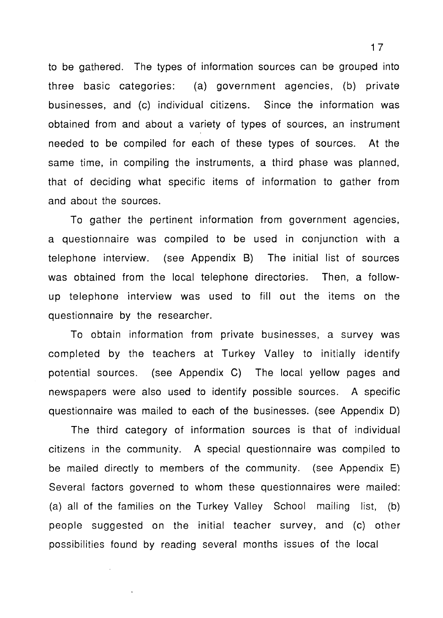to be gathered. The types of information sources can be grouped into three basic categories: (a) government agencies, (b) private businesses, and (c) individual citizens. Since the information was obtained from and about a variety of types of sources, an instrument needed to be compiled for each of these types of sources. At the same time, in compiling the instruments, a third phase was planned, that of deciding what specific items of information to gather from and about the sources.

To gather the pertinent information from government agencies, a questionnaire was compiled to be used in conjunction with a telephone interview. (see Appendix B) The initial list of sources was obtained from the local telephone directories. Then, a followup telephone interview was used to fill out the items on the questionnaire by the researcher.

To obtain information from private businesses, a survey was completed by the teachers at Turkey Valley to initially identify potential sources. (see Appendix C) The local yellow pages and newspapers were also used to identify possible sources. A specific questionnaire was mailed to each of the businesses. (see Appendix D)

The third category of information sources is that of individual citizens in the community. A special questionnaire was compiled to be mailed directly to members of the community. (see Appendix E) Several factors governed to whom these questionnaires were mailed: (a) all of the families on the Turkey Valley School mailing list, (b) people suggested on the initial teacher survey, and (c) other possibilities found by reading several months issues of the local

1 7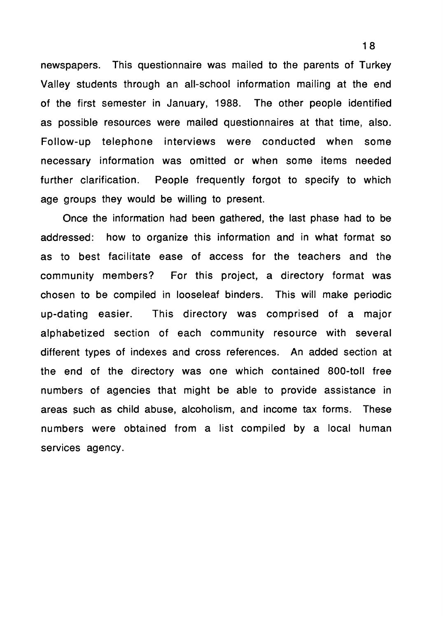newspapers. This questionnaire was mailed to the parents of Turkey Valley students through an all-school information mailing at the end of the first semester in January, 1988. The other people identified as possible resources were mailed questionnaires at that time, also. Follow-up telephone interviews were conducted when some necessary information was omitted or when some items needed further clarification. People frequently forgot to specify to which age groups they would be willing to present.

Once the information had been gathered, the last phase had to be addressed: how to organize this information and in what format so as to best facilitate ease of access for the teachers and the community members? For this project, a directory format was chosen to be compiled in looseleaf binders. This will make periodic up-dating easier. This directory was comprised of a major alphabetized section of each community resource with several different types of indexes and cross references. An added section at the end of the directory was one which contained 800-toll free numbers of agencies that might be able to provide assistance in areas such as child abuse, alcoholism, and income tax forms. These numbers were obtained from a list compiled by a local human services agency.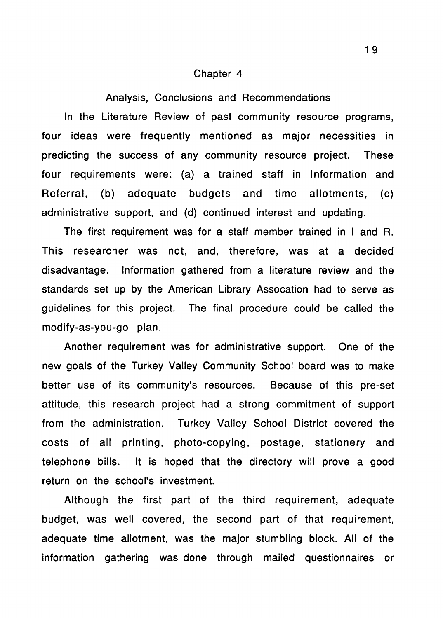#### Chapter 4

#### Analysis, Conclusions and Recommendations

In the Literature Review of past community resource programs, four ideas were frequently mentioned as major necessities in predicting the success of any community resource project. These four requirements were: (a) a trained staff in Information and Referral, (b) adequate budgets and time allotments, (c) administrative support, and (d) continued interest and updating.

The first requirement was for a staff member trained in I and R. This researcher was not, and, therefore, was at a decided disadvantage. Information gathered from a literature review and the standards set up by the American Library Assocation had to serve as guidelines for this project. The final procedure could be called the modify-as-you-go plan.

Another requirement was for administrative support. One of the new goals of the Turkey Valley Community School board was to make better use of its community's resources. Because of this pre-set attitude, this research project had a strong commitment of support from the administration. Turkey Valley School District covered the costs of all printing, photo-copying, postage, stationery and telephone bills. It is hoped that the directory will prove a good return on the school's investment.

Although the first part of the third requirement, adequate budget, was well covered, the second part of that requirement, adequate time allotment, was the major stumbling block. All of the information gathering was done through mailed questionnaires or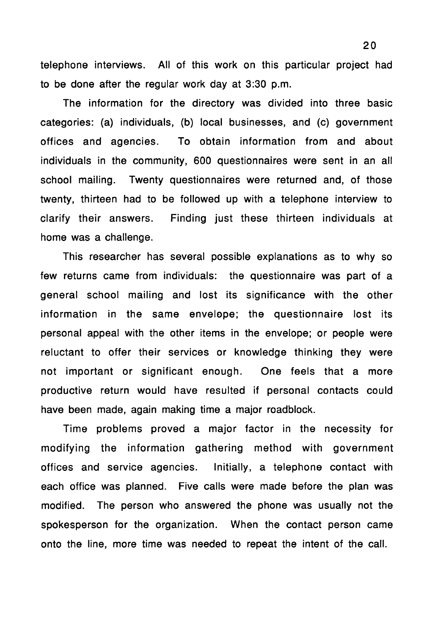telephone interviews. All of this work on this particular project had to be done after the regular work day at 3:30 p.m.

The information for the directory was divided into three basic categories: (a) individuals, (b) local businesses, and (c) government offices and agencies. To obtain information from and about individuals in the community, 600 questionnaires were sent in an all school mailing. Twenty questionnaires were returned and, of those twenty, thirteen had to be followed up with a telephone interview to clarify their answers. Finding just these thirteen individuals at home was a challenge.

This researcher has several possible explanations as to why so few returns came from individuals: the questionnaire was part of a general school mailing and lost its significance with the other information in the same envelope; the questionnaire lost its personal appeal with the other items in the envelope; or people were reluctant to offer their services or knowledge thinking they were not important or significant enough. One feels that a more productive return would have resulted if personal contacts could have been made, again making time a major roadblock.

Time problems proved a major factor in the necessity for modifying the information gathering method with government offices and service agencies. Initially, a telephone contact with each office was planned. Five calls were made before the plan was modified. The person who answered the phone was usually not the spokesperson for the organization. When the contact person came onto the line, more time was needed to repeat the intent of the call.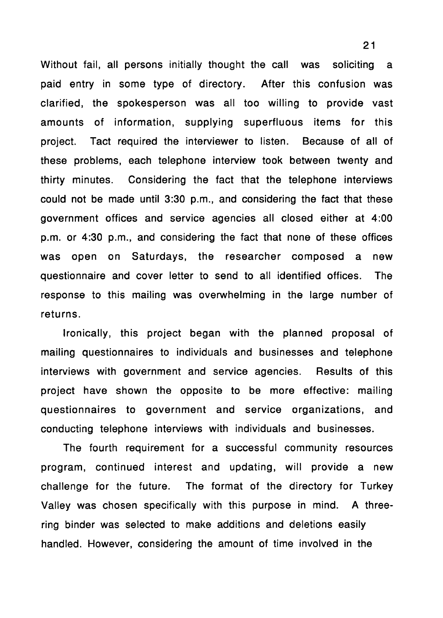Without fail, all persons initially thought the call was soliciting a paid entry in some type of directory. After this confusion was clarified, the spokesperson was all too willing to provide vast amounts of information, supplying superfluous items for this project. Tact required the interviewer to listen. Because of all of these problems, each telephone interview took between twenty and thirty minutes. Considering the fact that the telephone interviews could not be made until 3:30 p.m., and considering the fact that these government offices and service agencies all closed either at 4:00 p.m. or 4:30 p.m., and considering the fact that none of these offices was open on Saturdays, the researcher composed a new questionnaire and cover letter to send to all identified offices. The response to this mailing was overwhelming in the large number of returns.

Ironically, this project began with the planned proposal of mailing questionnaires to individuals and businesses and telephone interviews with government and service agencies. Results of this project have shown the opposite to be more effective: mailing questionnaires to government and service organizations, and conducting telephone interviews with individuals and businesses.

The fourth requirement for a successful community resources program, continued interest and updating, will provide a new challenge for the future. The format of the directory for Turkey Valley was chosen specifically with this purpose in mind. A threering binder was selected to make additions and deletions easily handled. However, considering the amount of time involved in the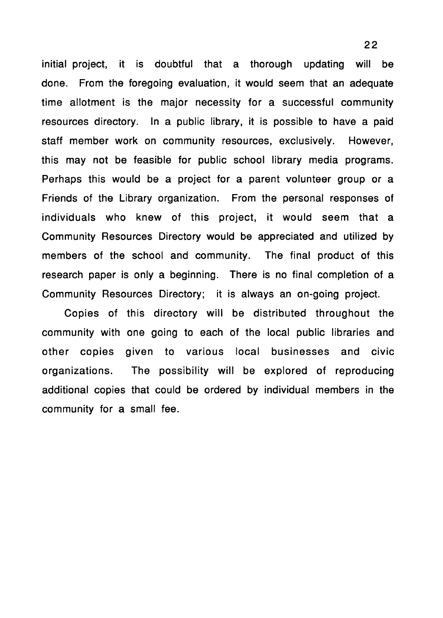initial project, it is doubtful that a thorough updating will be done. From the foregoing evaluation, it would seem that an adequate time allotment is the major necessity for a successful community resources directory. In a public library, it is possible to have a paid staff member work on community resources, exclusively. However, this may not be feasible for public school library media programs. Perhaps this would be a project for a parent volunteer group or a Friends of the Library organization. From the personal responses of individuals who knew of this project, it would seem that a Community Resources Directory would be appreciated and utilized by members of the school and community. The final product of this research paper is only a beginning. There is no final completion of a Community Resources Directory; it is always an on-going project.

Copies of this directory will be distributed throughout the community with one going to each of the local public libraries and other copies given to various local businesses and civic organizations. The possibility will be explored of reproducing additional copies that could be ordered by individual members in the community for a small fee.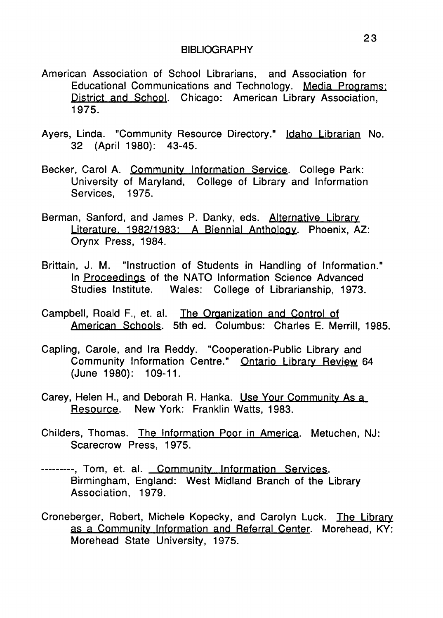- American Association of School Librarians, and Association for Educational Communications and Technology. **Media** Programs: District and School. Chicago: American Library Association, 1975.
- Ayers, Linda. "Community Resource Directory." Idaho Librarian No. 32 (April 1980): 43-45.
- Becker, Carol A. Community Information Service. College Park: University of Maryland, College of Library and Information Services, 1975.
- Berman, Sanford, and James P. Danky, eds. Alternative Library Literature, 1982/1983: A Biennial Anthology. Phoenix, AZ: Orynx Press, 1984.
- Brittain, J. M. "Instruction of Students in Handling of Information." In Proceedings of the NATO Information Science Advanced Studies Institute. Wales: College of Librarianship, 1973.
- Campbell, Reaid F., et. al. The Organization and Control of American Schools. 5th ed. Columbus: Charles E. Merrill, 1985.
- Capling, Carole, and Ira Reddy. "Cooperation-Public Library and Community Information Centre." Ontario Library Review 64 (June 1980): 109-11.
- Carey, Helen H., and Deborah R. Hanka. Use Your Community As a Resource. New York: Franklin Watts, 1983.
- Childers, Thomas. The Information Poor in America. Metuchen, NJ: Scarecrow Press, 1975.
- --------, Tom, et. al. Community Information Services. Birmingham, England: West Midland Branch of the Library Association, 1979.
- Croneberger, Robert, Michele Kopecky, and Carolyn Luck. The Library as a Community Information and Referral Center. Morehead, KY: Morehead State University, 1975.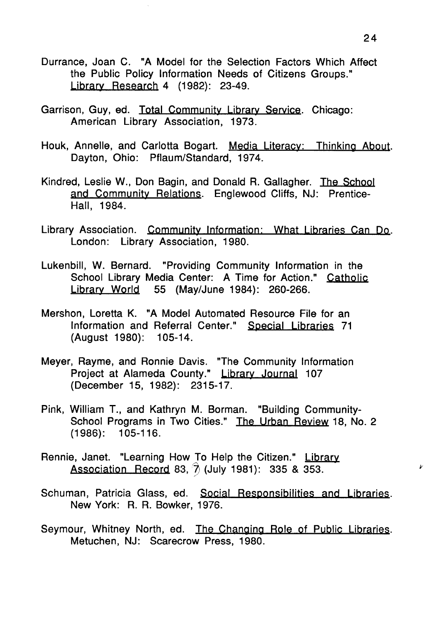- Durrance, Joan C. "A Model for the Selection Factors Which Affect the Public Policy Information Needs of Citizens Groups." Library Research 4 (1982): 23-49.
- Garrison, Guy, ed. Total Community Library **Service.** Chicago: American Library Association, 1973.
- Houk, Annelle, and Carlotta Bogart. Media Literacy: Thinking About. Dayton, Ohio: Pflaum/Standard, 1974.
- Kindred, Leslie W., Don Bagin, and Donald R. Gallagher. The School and Community Relations. Englewood Cliffs, NJ: Prentice-Hall, 1984.
- Library Association. Community Information: What Libraries Can Do. London: Library Association, 1980.
- Lukenbill, W. Bernard. "Providing Community Information in the School Library Media Center: A Time for Action." Catholic Library World 55 (May/June 1984): 260-266.
- Mershon, Loretta K. "A Model Automated Resource File for an Information and Referral Center." Special Libraries 71 (August 1980): 105-14.
- Meyer, Rayme, and Ronnie Davis. "The Community Information Project at Alameda County." Library Journal 107 (December 15, 1982): 2315-17.
- Pink, William T., and Kathryn M. Borman. "Building Community-School Programs in Two Cities." The Urban Review 18, No. 2 (1986): 105-116.
- Rennie, Janet. "Learning How To Help the Citizen." Library Association Record 83,  $\hat{7}$  (July 1981): 335 & 353.
- Schuman, Patricia Glass, ed. Social Responsibilities and Libraries. New York: R. R. Bowker, 1976.
- Seymour, Whitney North, ed. The Changing Role of Public Libraries. Metuchen, NJ: Scarecrow Press, 1980.

 $\mathcal{V}$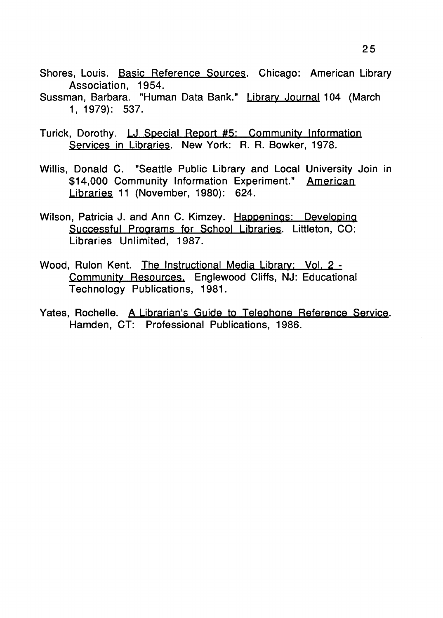- Shores, Louis. Basic Reference Sources. Chicago: American Library Association, 1954.
- Sussman, Barbara. "Human Data Bank." Library Journal 104 (March 1, 1979): 537.
- Turick, Dorothy. LJ Special Report #5; Community Information Services in Libraries. New York: R. R. Bowker, 1978.
- Willis, Donald C. "Seattle Public Library and Local University Join in \$14,000 Community Information Experiment." American Libraries 11 (November, 1980): 624.
- Wilson, Patricia J. and Ann C. Kimzey. Happenings: Developing Successful Programs for School Libraries. Littleton, CO: Libraries Unlimited, 1987.
- Wood, Rulon Kent. The Instructional Media Library: Vol. 2 Community Resources, Englewood Cliffs, NJ: Educational Technology Publications, 1981.
- Yates, Rochelle. A Librarian's Guide to Telephone Reference Service. Hamden, CT: Professional Publications, 1986.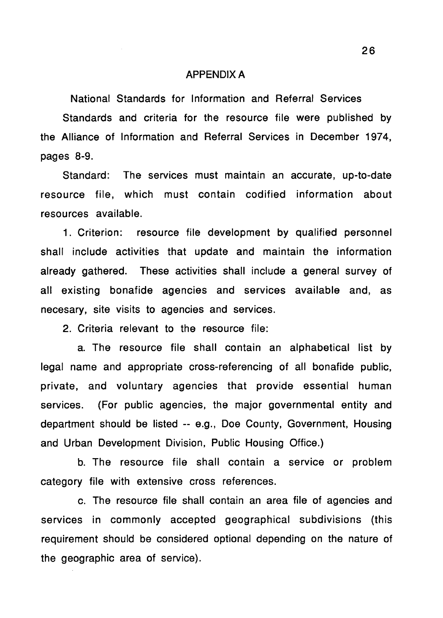#### APPENDIX A

National Standards for Information and Referral Services Standards and criteria for the resource file were published by the Alliance of Information and Referral Services in December 1974, pages 8-9.

Standard: The services must maintain an accurate, up-to-date resource file, which must contain codified information about resources available.

1. Criterion: resource file development by qualified personnel shall include activities that update and maintain the information already gathered. These activities shall include a general survey of all existing bonafide agencies and services available and, as necesary, site visits to agencies and services.

2. Criteria relevant to the resource file:

a. The resource file shall contain an alphabetical list by legal name and appropriate cross-referencing of all bonafide public, private, and voluntary agencies that provide essential human services. (For public agencies, the major governmental entity and department should be listed -- e.g., Doe County, Government, Housing and Urban Development Division, Public Housing Office.)

b. The resource file shall contain a service or problem category file with extensive cross references.

c. The resource file shall contain an area file of agencies and services in commonly accepted geographical subdivisions (this requirement should be considered optional depending on the nature of the geographic area of service).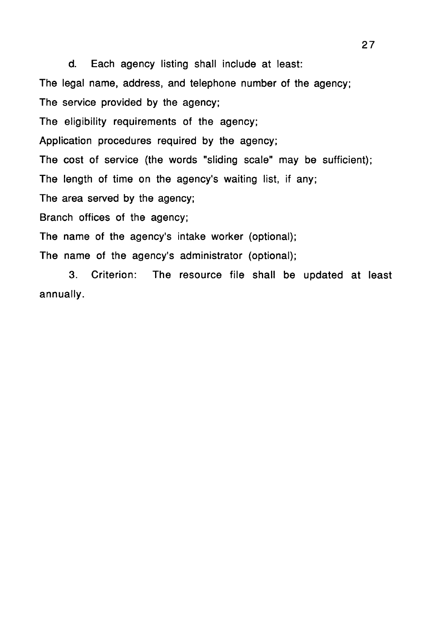d. Each agency listing shall include at least: The legal name, address, and telephone number of the agency; The service provided by the agency; The eligibility requirements of the agency; Application procedures required by the agency; The cost of service (the words "sliding scale" may be sufficient); The length of time on the agency's waiting list, if any; The area served by the agency; Branch offices of the agency; The name of the agency's intake worker (optional); The name of the agency's administrator (optional);

3. Criterion: The resource file shall be updated at least annually.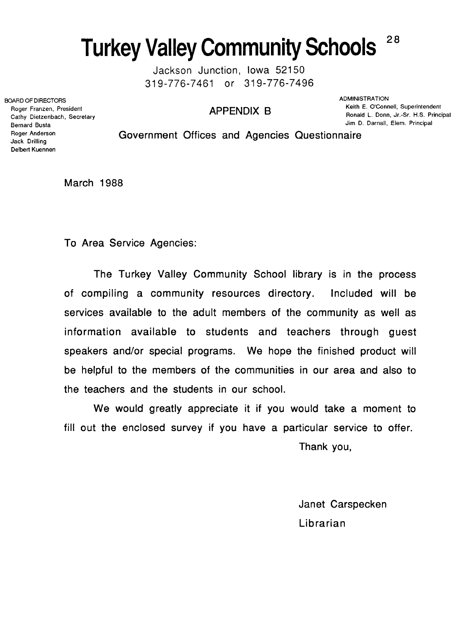## **Turkey Valley Community Schools 28**

Jackson Junction, Iowa 52150 319-776-7461 or 319-776-7496

BOARD OF DIRECTORS ADMINISTRATION ADMINISTRATION Roger Franzen, President Cathy Dietzenbach, Secretary Bernard Busta Roger Anderson Jack Drilling Delbert Kuennen

**APPENDIX B** Keith E. O'Connell, Superintendent Ronald L. Donn, Jr.-Sr. H.S. Principal Jim D. Darnall, Elem. Principal

Government Offices and Agencies Questionnaire

March 1988

To Area Service Agencies:

The Turkey Valley Community School library is in the process of compiling a community resources directory. Included will be services available to the adult members of the community as well as information available to students and teachers through guest speakers and/or special programs. We hope the finished product will be helpful to the members of the communities in our area and also to the teachers and the students in our school.

We would greatly appreciate it if you would take a moment to fill out the enclosed survey if you have a particular service to offer.

Thank you,

Janet Carspecken Librarian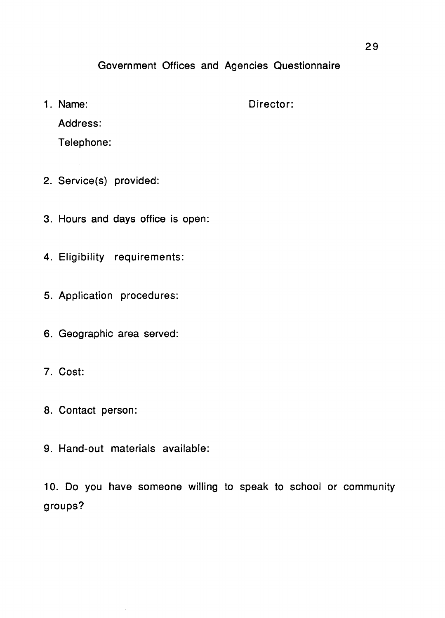### Government Offices and Agencies Questionnaire

1. Name: Director:

Address:

Telephone:

- 2. Service(s) provided:
- 3. Hours and days office is open:
- 4. Eligibility requirements:
- 5. Application procedures:
- 6. Geographic area served:
- 7. Cost:
- 8. Contact person:
- 9. Hand-out materials available:

10. Do you have someone willing to speak to school or community groups?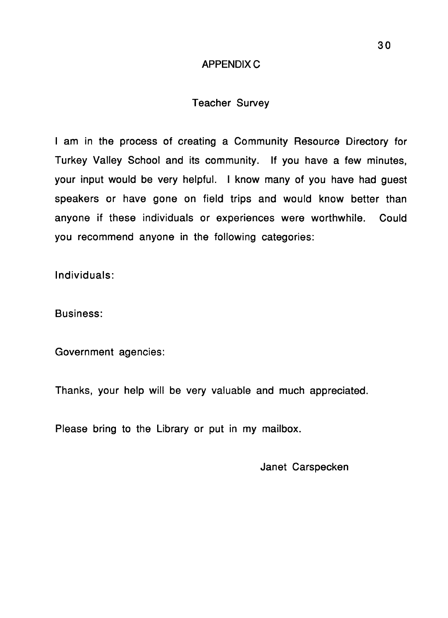### APPENDIXC

### Teacher Survey

I am in the process of creating a Community Resource Directory for Turkey Valley School and its community. If you have a few minutes, your input would be very helpful. I know many of you have had guest speakers or have gone on field trips and would know better than anyone if these individuals or experiences were worthwhile. Could you recommend anyone in the following categories:

Individuals:

Business:

Government agencies:

Thanks, your help will be very valuable and much appreciated.

Please bring to the Library or put in my mailbox.

Janet Carspecken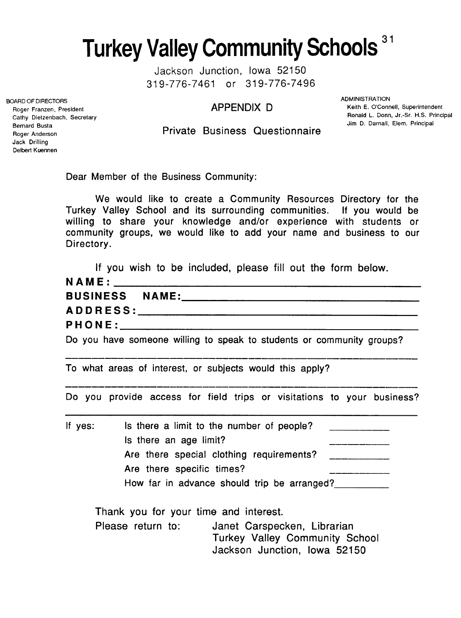**Turkey Valley Community Schools** <sup>31</sup>

Jackson Junction, Iowa 52150 319-776-7461 or 319-776-7496

APPENDIX D

**BOARD OF DIRECTORS** ADMINISTRATION Keith E. O'Connell, Superintendent Ronald L. Donn, Jr.-Sr. H.S. Principal Jim D. Darnall, Elem. Principal

Private Business Questionnaire

Dear Member of the Business Community:

We would like to create a Community Resources Directory for the Turkey Valley School and its surrounding communities. If you would be willing to share your knowledge and/or experience with students or community groups, we would like to add your name and business to our Directory.

|                                                                       | If you wish to be included, please fill out the form below. |  |  |  |
|-----------------------------------------------------------------------|-------------------------------------------------------------|--|--|--|
|                                                                       |                                                             |  |  |  |
| BUSINESS NAME:                                                        |                                                             |  |  |  |
|                                                                       |                                                             |  |  |  |
|                                                                       |                                                             |  |  |  |
| Do you have someone willing to speak to students or community groups? |                                                             |  |  |  |

To what areas of interest, or subjects would this apply?

Do you provide access for field trips or visitations to your business?

| Is there a limit to the number of people?   |
|---------------------------------------------|
| Is there an age limit?                      |
| Are there special clothing requirements?    |
| Are there specific times?                   |
| How far in advance should trip be arranged? |
| Thank you for your time and interest.       |
|                                             |

Please return to: Janet Carspecken, Librarian Turkey Valley Community School Jackson Junction, Iowa 52150

Roger Franzen, President Cathy Dietzenbach, Secretary Bernard Busta Roger Anderson Jack Drilling Delbert Kuennen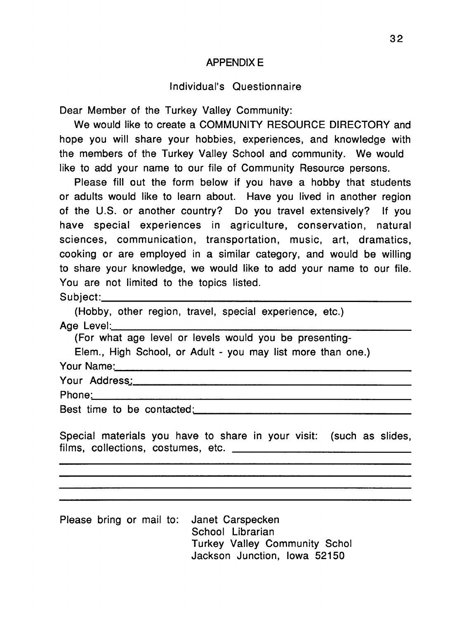### APPENDIX E

### Individual's Questionnaire

Dear Member of the Turkey Valley Community:

We would like to create a COMMUNITY RESOURCE DIRECTORY and hope you will share your hobbies, experiences, and knowledge with the members of the Turkey Valley School and community. We would like to add your name to our file of Community Resource persons.

Please fill out the form below if you have a hobby that students or adults would like to learn about. Have you lived in another region of the U.S. or another country? Do you travel extensively? If you have special experiences in agriculture, conservation, natural sciences, communication, transportation, music, art, dramatics, cooking or are employed in a similar category, and would be willing to share your knowledge, we would like to add your name to our file. You are not limited to the topics listed. Subject: \_\_\_\_\_\_\_\_\_\_\_\_\_\_\_\_\_\_\_\_\_\_\_\_ \_

(Hobby, other region, travel, special experience, etc.)<br>Age Level:

(For what age level or levels would you be presenting-

Elem., High School, or Adult - you may list more than one.}

Your Name:  $\frac{1}{2}$  Your Name:

Phone~: \_\_\_\_\_\_\_\_\_\_\_\_\_\_\_\_\_\_\_\_\_\_\_\_ \_

Best time to be contacted: The state of the state of the state of the state of the state of the state of the state of the state of the state of the state of the state of the state of the state of the state of the state of

Special materials you have to share in your visit: (such as slides, films, collections, costumes, etc.

Please bring or mail to: Janet Carspecken School Librarian Turkey Valley Community Schol Jackson Junction, Iowa 52150